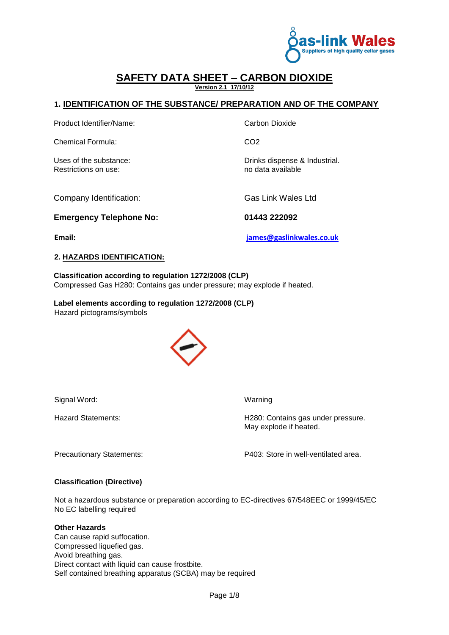

#### **SAFETY DATA SHEET – CARBON DIOXIDE Version 2.1 17/10/12**

#### **1. IDENTIFICATION OF THE SUBSTANCE/ PREPARATION AND OF THE COMPANY**

Product Identifier/Name: Carbon Dioxide

Chemical Formula: CO2

Restrictions on use: no data available

Uses of the substance:  $\blacksquare$ 

Company Identification: Gas Link Wales Ltd

**Emergency Telephone No: 01443 222092**

**Email: james@gaslinkwales.co.uk**

#### **2. HAZARDS IDENTIFICATION:**

**Classification according to regulation 1272/2008 (CLP)**  Compressed Gas H280: Contains gas under pressure; may explode if heated.

**Label elements according to regulation 1272/2008 (CLP)**  Hazard pictograms/symbols



Signal Word: Warning

Hazard Statements: H280: Contains gas under pressure. May explode if heated.

Precautionary Statements: P403: Store in well-ventilated area.

#### **Classification (Directive)**

Not a hazardous substance or preparation according to EC-directives 67/548EEC or 1999/45/EC No EC labelling required

#### **Other Hazards**

Can cause rapid suffocation. Compressed liquefied gas. Avoid breathing gas. Direct contact with liquid can cause frostbite. Self contained breathing apparatus (SCBA) may be required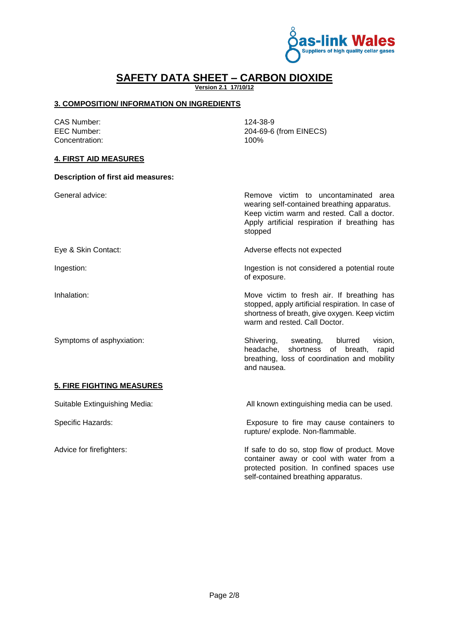

**Version 2.1 17/10/12**

#### **3. COMPOSITION/ INFORMATION ON INGREDIENTS**

CAS Number: 124-38-9 EEC Number: 204-69-6 (from EINECS) Concentration: 100% **4. FIRST AID MEASURES Description of first aid measures:** General advice:  $\blacksquare$  Remove victim to uncontaminated area wearing self-contained breathing apparatus. Keep victim warm and rested. Call a doctor. Apply artificial respiration if breathing has stopped Eye & Skin Contact: Adverse effects not expected Ingestion: Ingestion is not considered a potential route of exposure. Inhalation: Inhalation: Move victim to fresh air. If breathing has stopped, apply artificial respiration. In case of shortness of breath, give oxygen. Keep victim warm and rested. Call Doctor. Symptoms of asphyxiation: Shivering, sweating, blurred vision, headache, shortness of breath, rapid breathing, loss of coordination and mobility and nausea. **5. FIRE FIGHTING MEASURES**  Suitable Extinguishing Media: All known extinguishing media can be used. Specific Hazards: Exposure to fire may cause containers to rupture/ explode. Non-flammable.

Advice for firefighters:  $\blacksquare$  If safe to do so, stop flow of product. Move container away or cool with water from a protected position. In confined spaces use self-contained breathing apparatus.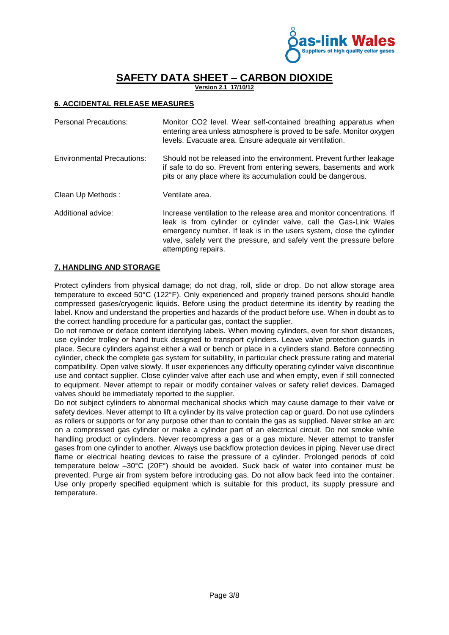

**Version 2.1 17/10/12**

#### **6. ACCIDENTAL RELEASE MEASURES**

| <b>Personal Precautions:</b>      | Monitor CO2 level. Wear self-contained breathing apparatus when<br>entering area unless atmosphere is proved to be safe. Monitor oxygen<br>levels. Evacuate area. Ensure adequate air ventilation.                                                                                                                 |
|-----------------------------------|--------------------------------------------------------------------------------------------------------------------------------------------------------------------------------------------------------------------------------------------------------------------------------------------------------------------|
| <b>Environmental Precautions:</b> | Should not be released into the environment. Prevent further leakage<br>if safe to do so. Prevent from entering sewers, basements and work<br>pits or any place where its accumulation could be dangerous.                                                                                                         |
| Clean Up Methods:                 | Ventilate area.                                                                                                                                                                                                                                                                                                    |
| Additional advice:                | Increase ventilation to the release area and monitor concentrations. If<br>leak is from cylinder or cylinder valve, call the Gas-Link Wales<br>emergency number. If leak is in the users system, close the cylinder<br>valve, safely vent the pressure, and safely vent the pressure before<br>attempting repairs. |

#### **7. HANDLING AND STORAGE**

Protect cylinders from physical damage; do not drag, roll, slide or drop. Do not allow storage area temperature to exceed 50°C (122°F). Only experienced and properly trained persons should handle compressed gases/cryogenic liquids. Before using the product determine its identity by reading the label. Know and understand the properties and hazards of the product before use. When in doubt as to the correct handling procedure for a particular gas, contact the supplier.

Do not remove or deface content identifying labels. When moving cylinders, even for short distances, use cylinder trolley or hand truck designed to transport cylinders. Leave valve protection guards in place. Secure cylinders against either a wall or bench or place in a cylinders stand. Before connecting cylinder, check the complete gas system for suitability, in particular check pressure rating and material compatibility. Open valve slowly. If user experiences any difficulty operating cylinder valve discontinue use and contact supplier. Close cylinder valve after each use and when empty, even if still connected to equipment. Never attempt to repair or modify container valves or safety relief devices. Damaged valves should be immediately reported to the supplier.

Do not subject cylinders to abnormal mechanical shocks which may cause damage to their valve or safety devices. Never attempt to lift a cylinder by its valve protection cap or guard. Do not use cylinders as rollers or supports or for any purpose other than to contain the gas as supplied. Never strike an arc on a compressed gas cylinder or make a cylinder part of an electrical circuit. Do not smoke while handling product or cylinders. Never recompress a gas or a gas mixture. Never attempt to transfer gases from one cylinder to another. Always use backflow protection devices in piping. Never use direct flame or electrical heating devices to raise the pressure of a cylinder. Prolonged periods of cold temperature below –30°C (20F°) should be avoided. Suck back of water into container must be prevented. Purge air from system before introducing gas. Do not allow back feed into the container. Use only properly specified equipment which is suitable for this product, its supply pressure and temperature.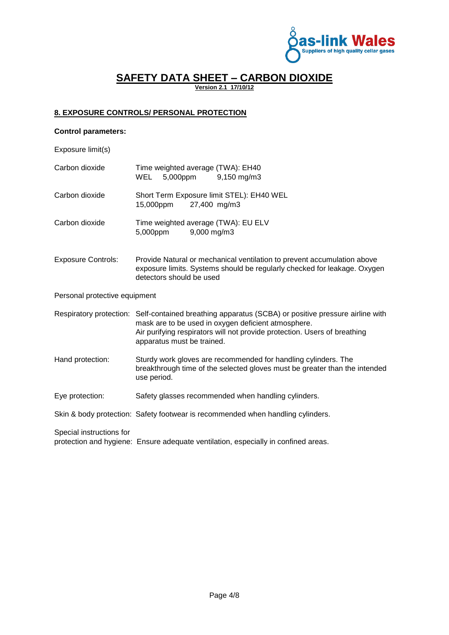

**Version 2.1 17/10/12**

#### **8. EXPOSURE CONTROLS/ PERSONAL PROTECTION**

#### **Control parameters:**

Exposure limit(s)

| Carbon dioxide                | Time weighted average (TWA): EH40<br>5,000ppm<br>WEL<br>$9,150 \,\mathrm{mg/m}$                                                                                                                                                                                       |
|-------------------------------|-----------------------------------------------------------------------------------------------------------------------------------------------------------------------------------------------------------------------------------------------------------------------|
| Carbon dioxide                | Short Term Exposure limit STEL): EH40 WEL<br>15,000ppm<br>27,400 mg/m3                                                                                                                                                                                                |
| Carbon dioxide                | Time weighted average (TWA): EU ELV<br>5,000ppm<br>9,000 mg/m3                                                                                                                                                                                                        |
| <b>Exposure Controls:</b>     | Provide Natural or mechanical ventilation to prevent accumulation above<br>exposure limits. Systems should be regularly checked for leakage. Oxygen<br>detectors should be used                                                                                       |
| Personal protective equipment |                                                                                                                                                                                                                                                                       |
|                               | Respiratory protection: Self-contained breathing apparatus (SCBA) or positive pressure airline with<br>mask are to be used in oxygen deficient atmosphere.<br>Air purifying respirators will not provide protection. Users of breathing<br>apparatus must be trained. |
| Hand protection:              | Sturdy work gloves are recommended for handling cylinders. The<br>breakthrough time of the selected gloves must be greater than the intended<br>use period.                                                                                                           |
| Eye protection:               | Safety glasses recommended when handling cylinders.                                                                                                                                                                                                                   |
|                               | Skin & body protection: Safety footwear is recommended when handling cylinders.                                                                                                                                                                                       |
| Special instructions for      | protection and hygiene: Ensure adequate ventilation, especially in confined areas.                                                                                                                                                                                    |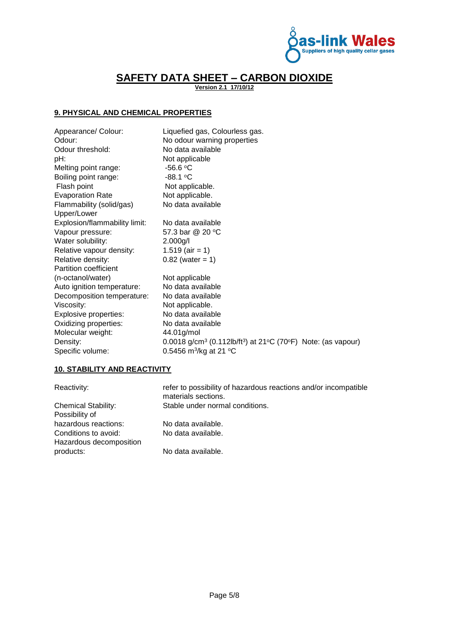

**Version 2.1 17/10/12**

#### **9. PHYSICAL AND CHEMICAL PROPERTIES**

| Appearance/ Colour:                                                                                                                                             | Liquefied gas, Colourless gas.                                                                                 |
|-----------------------------------------------------------------------------------------------------------------------------------------------------------------|----------------------------------------------------------------------------------------------------------------|
| Odour:                                                                                                                                                          | No odour warning properties                                                                                    |
| Odour threshold:                                                                                                                                                | No data available                                                                                              |
| pH:                                                                                                                                                             | Not applicable                                                                                                 |
| Melting point range:                                                                                                                                            | $-56.6$ °C                                                                                                     |
| Boiling point range:                                                                                                                                            | $-88.1 °C$                                                                                                     |
| Flash point                                                                                                                                                     | Not applicable.                                                                                                |
| <b>Evaporation Rate</b>                                                                                                                                         | Not applicable.                                                                                                |
| Flammability (solid/gas)                                                                                                                                        | No data available                                                                                              |
| Upper/Lower<br>Explosion/flammability limit:<br>Vapour pressure:<br>Water solubility:<br>Relative vapour density:<br>Relative density:<br>Partition coefficient | No data available<br>57.3 bar @ 20 °C<br>2.000g/l<br>1.519 (air = 1)<br>$0.82$ (water = 1)                     |
| (n-octanol/water)                                                                                                                                               | Not applicable                                                                                                 |
| Auto ignition temperature:                                                                                                                                      | No data available                                                                                              |
| Decomposition temperature:                                                                                                                                      | No data available                                                                                              |
| Viscosity:                                                                                                                                                      | Not applicable.                                                                                                |
| Explosive properties:                                                                                                                                           | No data available                                                                                              |
| Oxidizing properties:                                                                                                                                           | No data available                                                                                              |
| Molecular weight:                                                                                                                                               | 44.01g/mol                                                                                                     |
| Density:                                                                                                                                                        | 0.0018 g/cm <sup>3</sup> (0.112lb/ft <sup>3</sup> ) at 21 <sup>o</sup> C (70 <sup>o</sup> F) Note: (as vapour) |
| Specific volume:                                                                                                                                                | 0.5456 m <sup>3</sup> /kg at 21 °C                                                                             |

#### **10. STABILITY AND REACTIVITY**

| Reactivity:                | refer to possibility of hazardous reactions and/or incompatible<br>materials sections. |
|----------------------------|----------------------------------------------------------------------------------------|
| <b>Chemical Stability:</b> | Stable under normal conditions.                                                        |
| Possibility of             |                                                                                        |
| hazardous reactions:       | No data available.                                                                     |
| Conditions to avoid:       | No data available.                                                                     |
| Hazardous decomposition    |                                                                                        |
| products:                  | No data available.                                                                     |
|                            |                                                                                        |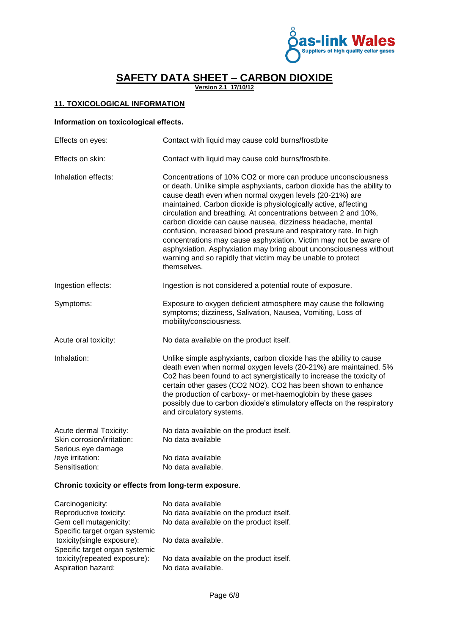

**Version 2.1 17/10/12**

#### **11. TOXICOLOGICAL INFORMATION**

#### **Information on toxicological effects.**

| Effects on eyes:                                                           | Contact with liquid may cause cold burns/frostbite                                                                                                                                                                                                                                                                                                                                                                                                                                                                                                                                                                                                                                                    |
|----------------------------------------------------------------------------|-------------------------------------------------------------------------------------------------------------------------------------------------------------------------------------------------------------------------------------------------------------------------------------------------------------------------------------------------------------------------------------------------------------------------------------------------------------------------------------------------------------------------------------------------------------------------------------------------------------------------------------------------------------------------------------------------------|
| Effects on skin:                                                           | Contact with liquid may cause cold burns/frostbite.                                                                                                                                                                                                                                                                                                                                                                                                                                                                                                                                                                                                                                                   |
| Inhalation effects:                                                        | Concentrations of 10% CO2 or more can produce unconsciousness<br>or death. Unlike simple asphyxiants, carbon dioxide has the ability to<br>cause death even when normal oxygen levels (20-21%) are<br>maintained. Carbon dioxide is physiologically active, affecting<br>circulation and breathing. At concentrations between 2 and 10%,<br>carbon dioxide can cause nausea, dizziness headache, mental<br>confusion, increased blood pressure and respiratory rate. In high<br>concentrations may cause asphyxiation. Victim may not be aware of<br>asphyxiation. Asphyxiation may bring about unconsciousness without<br>warning and so rapidly that victim may be unable to protect<br>themselves. |
| Ingestion effects:                                                         | Ingestion is not considered a potential route of exposure.                                                                                                                                                                                                                                                                                                                                                                                                                                                                                                                                                                                                                                            |
| Symptoms:                                                                  | Exposure to oxygen deficient atmosphere may cause the following<br>symptoms; dizziness, Salivation, Nausea, Vomiting, Loss of<br>mobility/consciousness.                                                                                                                                                                                                                                                                                                                                                                                                                                                                                                                                              |
| Acute oral toxicity:                                                       | No data available on the product itself.                                                                                                                                                                                                                                                                                                                                                                                                                                                                                                                                                                                                                                                              |
| Inhalation:                                                                | Unlike simple asphyxiants, carbon dioxide has the ability to cause<br>death even when normal oxygen levels (20-21%) are maintained. 5%<br>Co2 has been found to act synergistically to increase the toxicity of<br>certain other gases (CO2 NO2). CO2 has been shown to enhance<br>the production of carboxy- or met-haemoglobin by these gases<br>possibly due to carbon dioxide's stimulatory effects on the respiratory<br>and circulatory systems.                                                                                                                                                                                                                                                |
| Acute dermal Toxicity:<br>Skin corrosion/irritation:<br>Serious eye damage | No data available on the product itself.<br>No data available                                                                                                                                                                                                                                                                                                                                                                                                                                                                                                                                                                                                                                         |
| /eye irritation:<br>Sensitisation:                                         | No data available<br>No data available.                                                                                                                                                                                                                                                                                                                                                                                                                                                                                                                                                                                                                                                               |

#### **Chronic toxicity or effects from long-term exposure**.

| Carcinogenicity:               | No data available                        |
|--------------------------------|------------------------------------------|
| Reproductive toxicity:         | No data available on the product itself. |
| Gem cell mutagenicity:         | No data available on the product itself. |
| Specific target organ systemic |                                          |
| toxicity(single exposure):     | No data available.                       |
| Specific target organ systemic |                                          |
| toxicity(repeated exposure):   | No data available on the product itself. |
| Aspiration hazard:             | No data available.                       |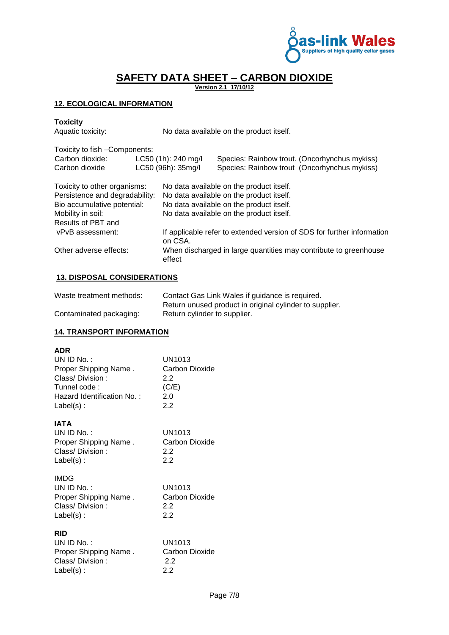

**Version 2.1 17/10/12**

#### **12. ECOLOGICAL INFORMATION**

# **Toxicity**

No data available on the product itself.

| Toxicity to fish - Components: |  |                                                                        |  |
|--------------------------------|--|------------------------------------------------------------------------|--|
|                                |  | Species: Rainbow trout. (Oncorhynchus mykiss)                          |  |
|                                |  | Species: Rainbow trout (Oncorhynchus mykiss)                           |  |
| Toxicity to other organisms:   |  | No data available on the product itself.                               |  |
| Persistence and degradability: |  | No data available on the product itself.                               |  |
| Bio accumulative potential:    |  | No data available on the product itself.                               |  |
| Mobility in soil:              |  | No data available on the product itself.                               |  |
|                                |  |                                                                        |  |
|                                |  | If applicable refer to extended version of SDS for further information |  |
|                                |  | When discharged in large quantities may contribute to greenhouse       |  |
|                                |  | LC50 (1h): 240 mg/l<br>LC50 (96h): 35mg/l<br>on CSA.<br>effect         |  |

#### **13. DISPOSAL CONSIDERATIONS**

| Waste treatment methods: | Contact Gas Link Wales if guidance is required.         |
|--------------------------|---------------------------------------------------------|
|                          | Return unused product in original cylinder to supplier. |
| Contaminated packaging:  | Return cylinder to supplier.                            |

#### **14. TRANSPORT INFORMATION**

#### **ADR**

| UN ID No. $:$              | UN1013         |
|----------------------------|----------------|
| Proper Shipping Name.      | Carbon Dioxide |
| Class/Division:            | 22             |
| Tunnel code:               | (C/E)          |
| Hazard Identification No.: | 2.0            |
| $Label(s)$ :               | 22             |
|                            |                |

#### **IATA**

| UN ID No. :           | UN1013         |
|-----------------------|----------------|
| Proper Shipping Name. | Carbon Dioxide |
| Class/Division:       | 22             |
| $Label(s)$ :          | 22             |

| IMDG.                 |                |
|-----------------------|----------------|
| UN ID No. :           | UN1013         |
| Proper Shipping Name. | Carbon Dioxide |
| Class/Division:       | 22             |
| $Label(s)$ :          | 22             |

#### **RID**

| UN ID No. :           | UN1013         |
|-----------------------|----------------|
| Proper Shipping Name. | Carbon Dioxide |
| Class/Division:       | 22             |
| $Label(s)$ :          | 22             |